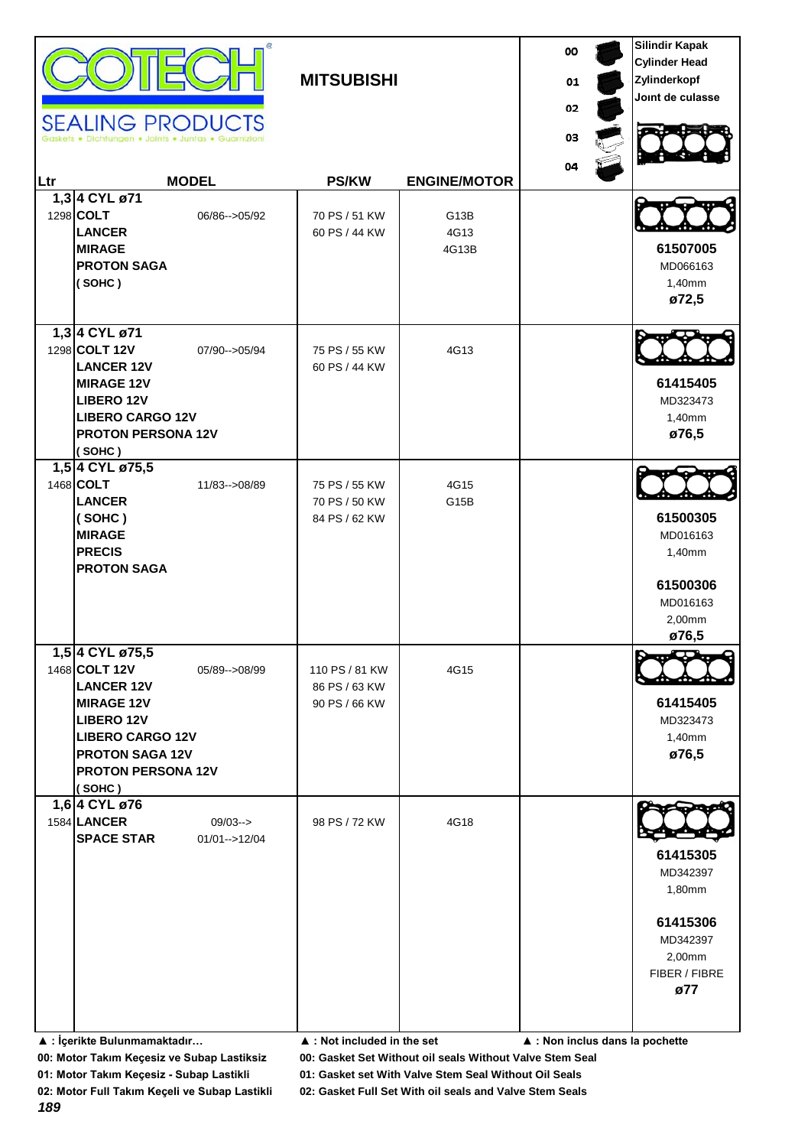|     | <b>SEALING PRODUCTS</b>                                                                                                                                                                     |                                | <b>MITSUBISHI</b>                                |                                    | 00<br>01<br>02<br>03 | <b>Silindir Kapak</b><br><b>Cylinder Head</b><br>Zylinderkopf<br>Joint de culasse        |
|-----|---------------------------------------------------------------------------------------------------------------------------------------------------------------------------------------------|--------------------------------|--------------------------------------------------|------------------------------------|----------------------|------------------------------------------------------------------------------------------|
| Ltr |                                                                                                                                                                                             | <b>MODEL</b>                   | <b>PS/KW</b>                                     | <b>ENGINE/MOTOR</b>                | 04                   |                                                                                          |
|     | 1,3 4 CYL ø71<br>1298 COLT<br><b>LANCER</b><br><b>MIRAGE</b><br><b>PROTON SAGA</b><br>(SOHC)                                                                                                | 06/86 -- > 05/92               | 70 PS / 51 KW<br>60 PS / 44 KW                   | G <sub>13</sub> B<br>4G13<br>4G13B |                      | 61507005<br>MD066163<br>1,40mm<br>ø72,5                                                  |
|     | 1,3 4 CYL ø71<br>1298 COLT 12V<br><b>LANCER 12V</b><br><b>MIRAGE 12V</b><br><b>LIBERO 12V</b><br><b>LIBERO CARGO 12V</b><br><b>PROTON PERSONA 12V</b><br>(SOHC)                             | 07/90 -- > 05/94               | 75 PS / 55 KW<br>60 PS / 44 KW                   | 4G13                               |                      | 61415405<br>MD323473<br>1,40mm<br>ø76,5                                                  |
|     | 1,5 4 CYL ø75,5<br>1468 COLT<br><b>LANCER</b><br>(SOHC)<br><b>MIRAGE</b><br><b>PRECIS</b><br><b>PROTON SAGA</b>                                                                             | 11/83-->08/89                  | 75 PS / 55 KW<br>70 PS / 50 KW<br>84 PS / 62 KW  | 4G15<br>G <sub>15</sub> B          |                      | 61500305<br>MD016163<br>1,40mm<br>61500306<br>MD016163<br>2,00mm<br>ø76,5                |
|     | 1,5 4 CYL ø75,5<br>1468 COLT 12V<br><b>LANCER 12V</b><br><b>MIRAGE 12V</b><br><b>LIBERO 12V</b><br><b>LIBERO CARGO 12V</b><br><b>PROTON SAGA 12V</b><br><b>PROTON PERSONA 12V</b><br>(SOHC) | 05/89 -- > 08/99               | 110 PS / 81 KW<br>86 PS / 63 KW<br>90 PS / 66 KW | 4G15                               |                      | 61415405<br>MD323473<br>1,40mm<br>ø76,5                                                  |
|     | 1,6 4 CYL ø76<br>1584 LANCER<br><b>SPACE STAR</b>                                                                                                                                           | $09/03--$<br>$01/01 - > 12/04$ | 98 PS / 72 KW                                    | 4G18                               |                      | 61415305<br>MD342397<br>1,80mm<br>61415306<br>MD342397<br>2,00mm<br>FIBER / FIBRE<br>ø77 |

**▲ : İçerikte Bulunmamaktadır… ▲ : Not included in the set ▲ : Non inclus dans la pochette**

**00: Motor Takım Keçesiz ve Subap Lastiksiz 00: Gasket Set Without oil seals Without Valve Stem Seal**

**01: Motor Takım Keçesiz - Subap Lastikli 01: Gasket set With Valve Stem Seal Without Oil Seals**

*189*

**02: Motor Full Takım Keçeli ve Subap Lastikli 02: Gasket Full Set With oil seals and Valve Stem Seals**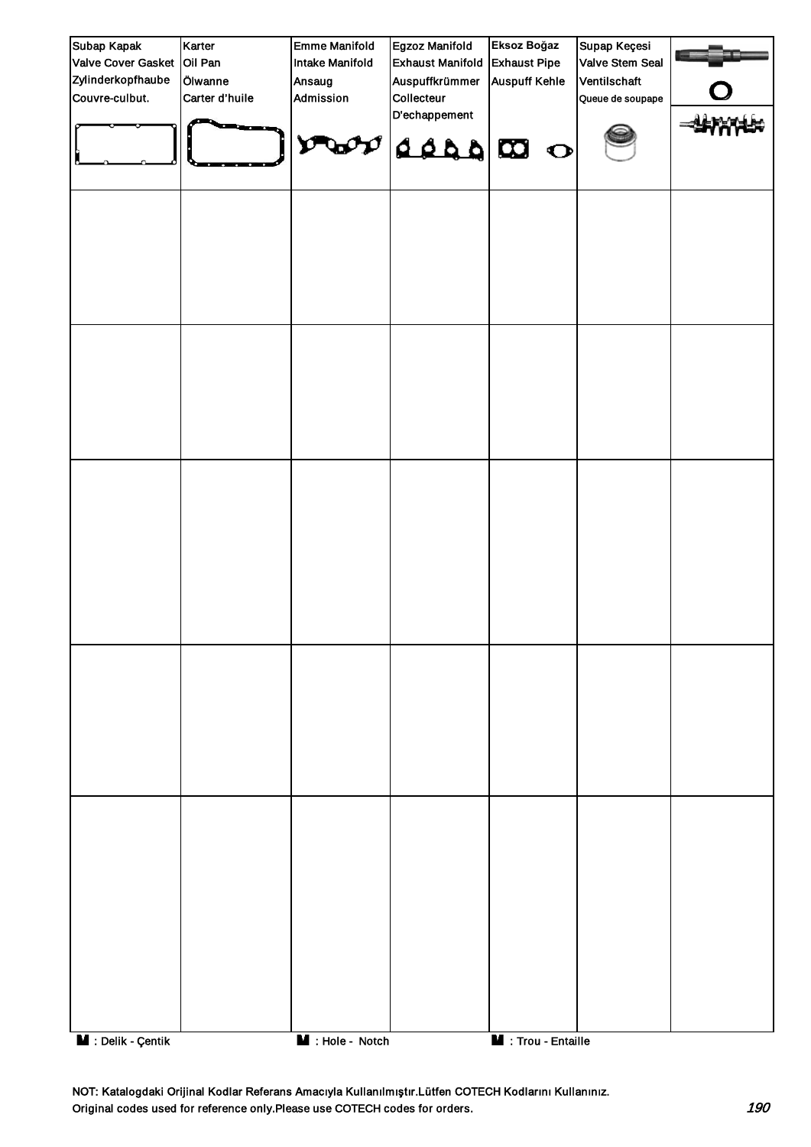| Subap Kapak                | Karter         | <b>Emme Manifold</b>          | Egzoz Manifold              | Eksoz Boğaz                | Supap Keçesi     |  |
|----------------------------|----------------|-------------------------------|-----------------------------|----------------------------|------------------|--|
| Valve Cover Gasket Oil Pan |                | Intake Manifold               | <b>Exhaust Manifold</b>     | <b>Exhaust Pipe</b>        | Valve Stem Seal  |  |
| Zylinderkopfhaube          | Ölwanne        | Ansaug                        | Auspuffkrümmer              | <b>Auspuff Kehle</b>       | Ventilschaft     |  |
| Couvre-culbut.             | Carter d'huile | Admission                     | Collecteur<br>D'echappement |                            | Queue de soupape |  |
|                            |                | O<br>$\mathbf{w}$             | O CO 222                    |                            |                  |  |
|                            |                |                               |                             |                            |                  |  |
|                            |                |                               |                             |                            |                  |  |
|                            |                |                               |                             |                            |                  |  |
|                            |                |                               |                             |                            |                  |  |
|                            |                |                               |                             |                            |                  |  |
| M : Delik - Çentik         |                | $\blacksquare$ : Hole - Notch |                             | <b>M</b> : Trou - Entaille |                  |  |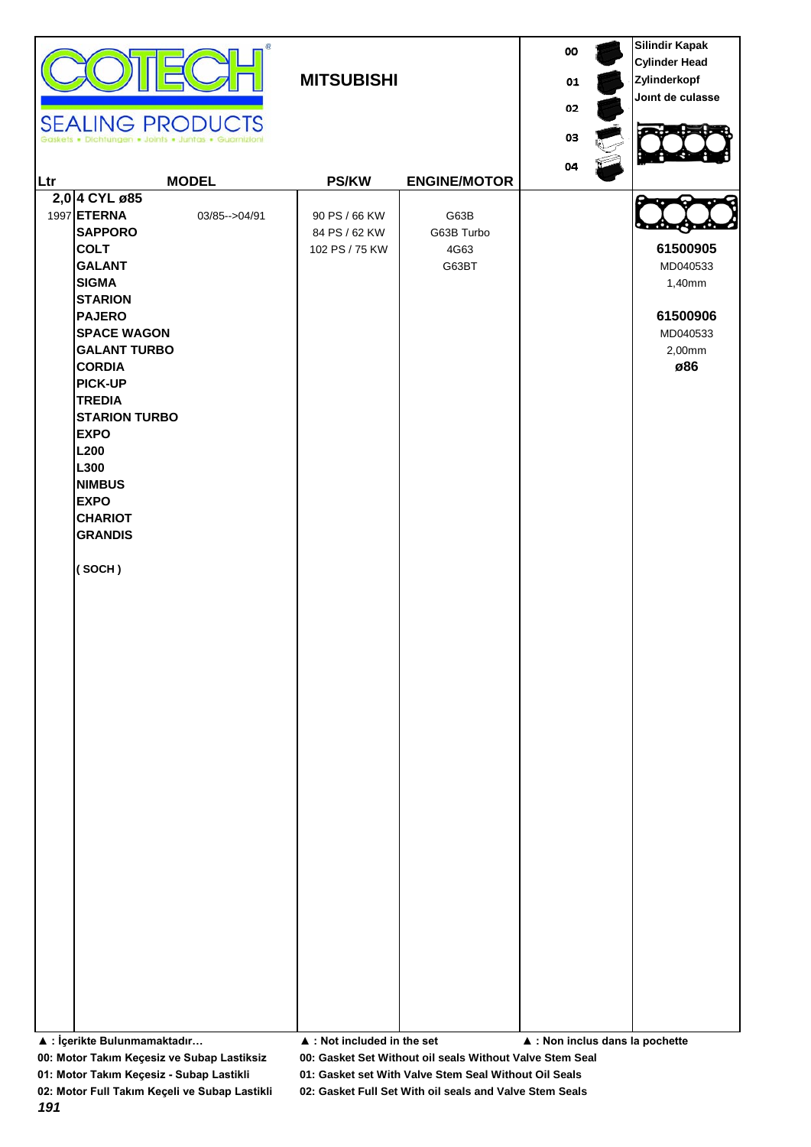|     | <b>SEALING PRODUCTS</b><br>· Dichtungen · Joints · Juntas · Guarnizioni                                                                                                                                                                                                                                                                                                             |                  | <b>MITSUBISHI</b>                                |                                     | 00<br>01<br>02<br>03<br>04                     | <b>Silindir Kapak</b><br><b>Cylinder Head</b><br>Zylinderkopf<br>Joint de culasse |
|-----|-------------------------------------------------------------------------------------------------------------------------------------------------------------------------------------------------------------------------------------------------------------------------------------------------------------------------------------------------------------------------------------|------------------|--------------------------------------------------|-------------------------------------|------------------------------------------------|-----------------------------------------------------------------------------------|
| Ltr |                                                                                                                                                                                                                                                                                                                                                                                     | <b>MODEL</b>     | <b>PS/KW</b>                                     | <b>ENGINE/MOTOR</b>                 |                                                |                                                                                   |
|     | 2,0 4 CYL ø85<br>1997 ETERNA<br><b>SAPPORO</b><br><b>COLT</b><br><b>GALANT</b><br><b>SIGMA</b><br><b>STARION</b><br><b>PAJERO</b><br><b>SPACE WAGON</b><br><b>GALANT TURBO</b><br><b>CORDIA</b><br><b>PICK-UP</b><br><b>TREDIA</b><br><b>STARION TURBO</b><br><b>EXPO</b><br>L <sub>200</sub><br>L300<br><b>NIMBUS</b><br><b>EXPO</b><br><b>CHARIOT</b><br><b>GRANDIS</b><br>(SOCH) | 03/85 -- > 04/91 | 90 PS / 66 KW<br>84 PS / 62 KW<br>102 PS / 75 KW | G63B<br>G63B Turbo<br>4G63<br>G63BT |                                                | 61500905<br>MD040533<br>1,40mm<br>61500906<br>MD040533<br>2,00mm<br>ø86           |
|     | ▲ : İçerikte Bulunmamaktadır                                                                                                                                                                                                                                                                                                                                                        |                  | $\blacktriangle$ : Not included in the set       |                                     | $\blacktriangle$ : Non inclus dans la pochette |                                                                                   |

**00: Motor Takım Keçesiz ve Subap Lastiksiz 00: Gasket Set Without oil seals Without Valve Stem Seal**

**01: Motor Takım Keçesiz - Subap Lastikli 01: Gasket set With Valve Stem Seal Without Oil Seals**

**02: Motor Full Takım Keçeli ve Subap Lastikli 02: Gasket Full Set With oil seals and Valve Stem Seals**

*191*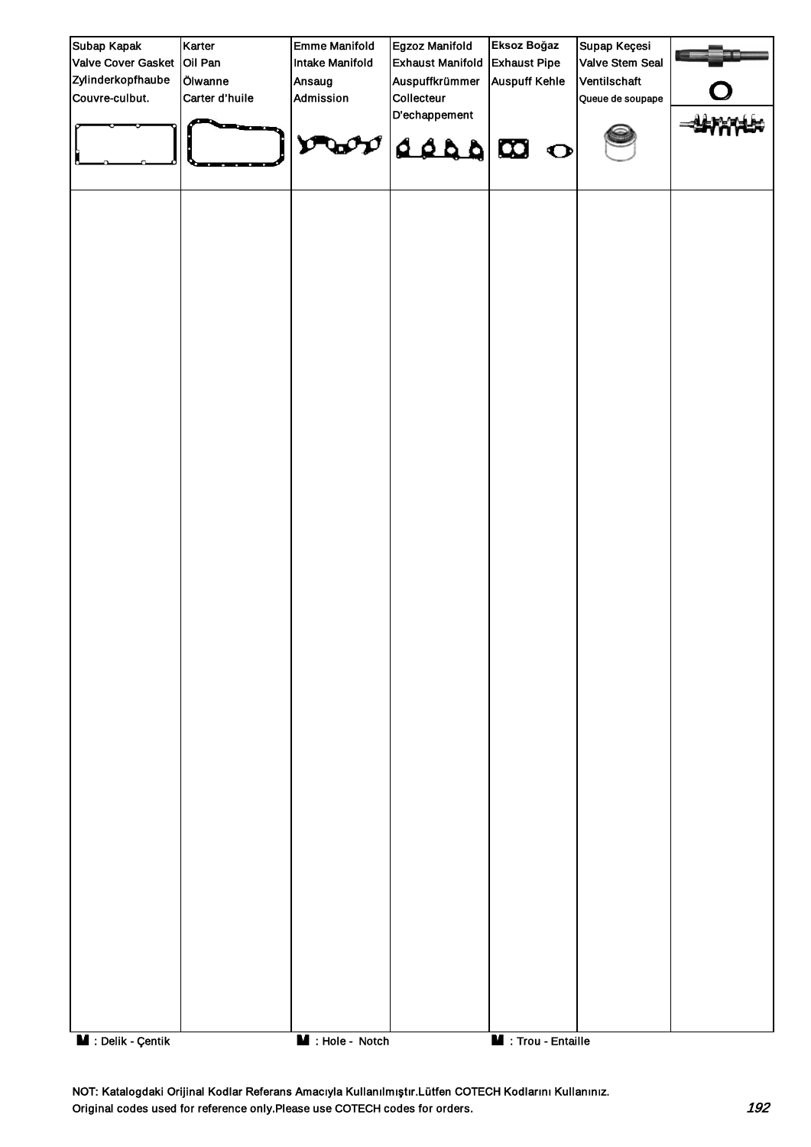| Subap Kapak                     | Karter         | <b>Emme Manifold</b> | Egzoz Manifold             | Eksoz Boğaz          | Supap Keçesi     |  |
|---------------------------------|----------------|----------------------|----------------------------|----------------------|------------------|--|
| Valve Cover Gasket              | Oil Pan        | Intake Manifold      | <b>Exhaust Manifold</b>    | <b>Exhaust Pipe</b>  | Valve Stem Seal  |  |
| Zylinderkopfhaube               | Ölwanne        | Ansaug               | Auspuffkrümmer             | <b>Auspuff Kehle</b> | Ventilschaft     |  |
| Couvre-culbut.                  | Carter d'huile | Admission            | Collecteur                 |                      | Queue de soupape |  |
|                                 |                |                      | D'echappement              |                      |                  |  |
|                                 |                | v<br>$\mathbf{w}$    | $\alpha$ $\alpha$ $\alpha$ |                      |                  |  |
|                                 |                |                      |                            |                      |                  |  |
|                                 |                |                      |                            |                      |                  |  |
| $\blacksquare$ : Delik - Çentik |                | M : Hole - Notch     |                            | M : Trou - Entaille  |                  |  |

NOT: Katalogdaki Orijinal Kodlar Referans Amacıyla Kullanılmıştır.Lütfen COTECH Kodlarını Kullanınız. Original codes used for reference only.Please use COTECH codes for orders. 192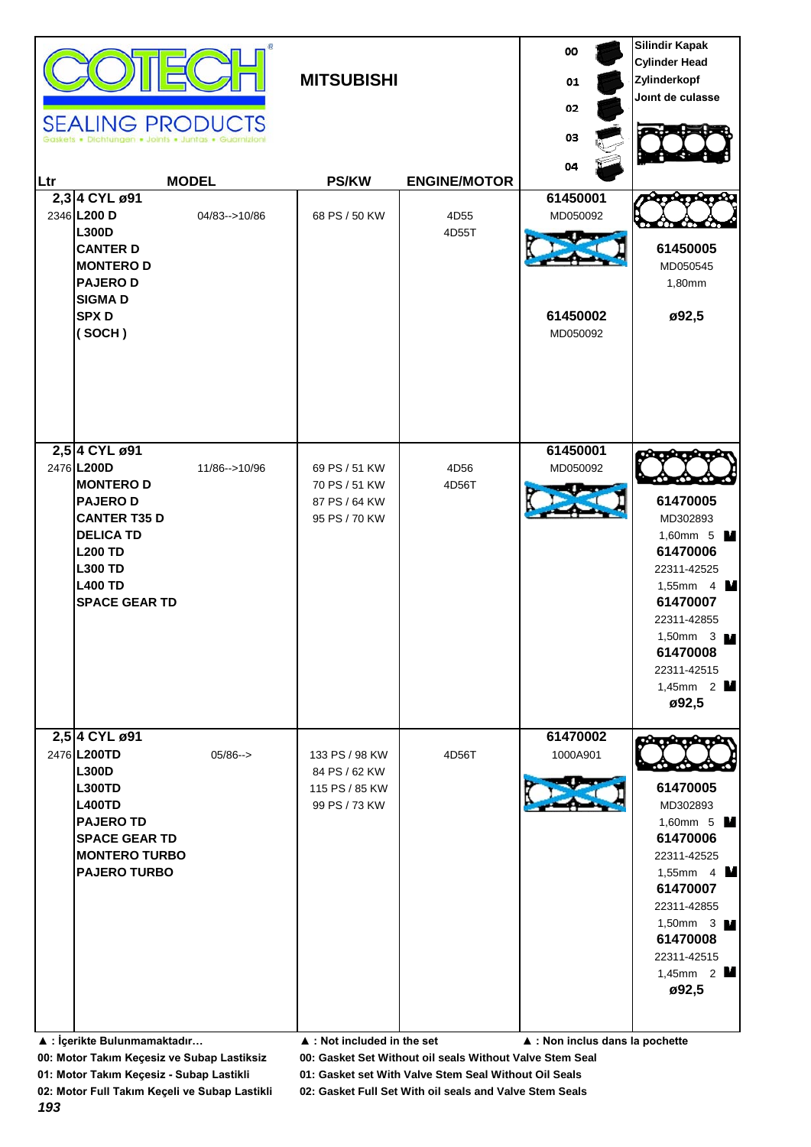| Ltr | <b>SEALING PRODUCTS</b>                                                                                                                                                                   | <b>MODEL</b>        | <b>MITSUBISHI</b><br><b>PS/KW</b>                                  | <b>ENGINE/MOTOR</b> | 00<br>01<br>02<br>03<br>04                   | <b>Silindir Kapak</b><br><b>Cylinder Head</b><br>Zylinderkopf<br>Joint de culasse                                                                                                                            |
|-----|-------------------------------------------------------------------------------------------------------------------------------------------------------------------------------------------|---------------------|--------------------------------------------------------------------|---------------------|----------------------------------------------|--------------------------------------------------------------------------------------------------------------------------------------------------------------------------------------------------------------|
|     | 2,3 4 CYL ø91<br>2346 L200 D<br><b>L300D</b><br><b>CANTER D</b><br><b>MONTEROD</b><br><b>PAJEROD</b><br><b>SIGMAD</b><br><b>SPXD</b><br>(SOCH)                                            | 04/83-->10/86       | 68 PS / 50 KW                                                      | 4D55<br>4D55T       | 61450001<br>MD050092<br>61450002<br>MD050092 | 61450005<br>MD050545<br>1,80mm<br>ø92,5                                                                                                                                                                      |
|     | 2,5 4 CYL ø91<br>2476 L200D<br><b>MONTEROD</b><br><b>PAJEROD</b><br><b>CANTER T35 D</b><br><b>DELICA TD</b><br><b>L200 TD</b><br><b>L300 TD</b><br><b>L400 TD</b><br><b>SPACE GEAR TD</b> | 11/86-->10/96       | 69 PS / 51 KW<br>70 PS / 51 KW<br>87 PS / 64 KW<br>95 PS / 70 KW   | 4D56<br>4D56T       | 61450001<br>MD050092                         | 61470005<br>MD302893<br>1,60mm 5 M<br>61470006<br>22311-42525<br>1,55mm 4 $\blacksquare$<br>61470007<br>22311-42855<br>1,50mm $3 \text{ M}$<br>61470008<br>22311-42515<br>1,45mm $2$ $\blacksquare$<br>ø92,5 |
|     | 2,5 4 CYL ø91<br>2476 L200TD<br><b>L300D</b><br><b>L300TD</b><br><b>L400TD</b><br><b>PAJERO TD</b><br><b>SPACE GEAR TD</b><br><b>MONTERO TURBO</b><br><b>PAJERO TURBO</b>                 | $05/86 \rightarrow$ | 133 PS / 98 KW<br>84 PS / 62 KW<br>115 PS / 85 KW<br>99 PS / 73 KW | 4D56T               | 61470002<br>1000A901                         | 61470005<br>MD302893<br>1,60mm 5 M<br>61470006<br>22311-42525<br>1,55mm 4 $\blacksquare$<br>61470007<br>22311-42855<br>1,50mm $3 \text{ M}$<br>61470008<br>22311-42515<br>1,45mm $2$ M<br>ø92,5              |
|     | ▲ : İçerikte Bulunmamaktadır                                                                                                                                                              |                     | ▲ : Not included in the set                                        |                     | ▲ : Non inclus dans la pochette              |                                                                                                                                                                                                              |

**00: Motor Takım Keçesiz ve Subap Lastiksiz 00: Gasket Set Without oil seals Without Valve Stem Seal**

**01: Motor Takım Keçesiz - Subap Lastikli 01: Gasket set With Valve Stem Seal Without Oil Seals**

**02: Motor Full Takım Keçeli ve Subap Lastikli 02: Gasket Full Set With oil seals and Valve Stem Seals**

*193*